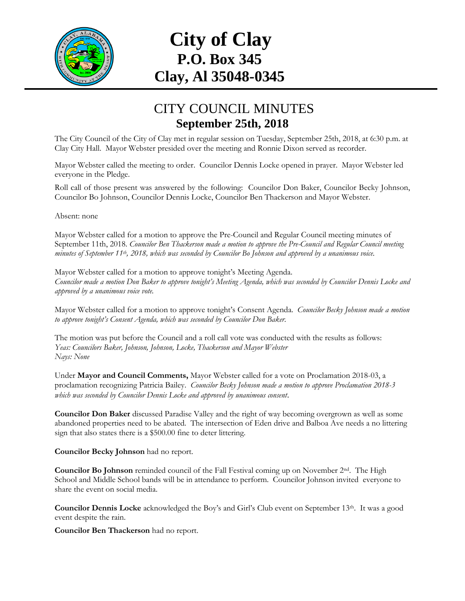

## **City of Clay P.O. Box 345 Clay, Al 35048-0345**

## CITY COUNCIL MINUTES **September 25th, 2018**

The City Council of the City of Clay met in regular session on Tuesday, September 25th, 2018, at 6:30 p.m. at Clay City Hall. Mayor Webster presided over the meeting and Ronnie Dixon served as recorder.

Mayor Webster called the meeting to order. Councilor Dennis Locke opened in prayer. Mayor Webster led everyone in the Pledge.

Roll call of those present was answered by the following: Councilor Don Baker, Councilor Becky Johnson, Councilor Bo Johnson, Councilor Dennis Locke, Councilor Ben Thackerson and Mayor Webster.

Absent: none

Mayor Webster called for a motion to approve the Pre-Council and Regular Council meeting minutes of September 11th, 2018. *Councilor Ben Thackerson made a motion to approve the Pre-Council and Regular Council meeting minutes of September 11th , 2018, which was seconded by Councilor Bo Johnson and approved by a unanimous voice.*

Mayor Webster called for a motion to approve tonight's Meeting Agenda. *Councilor made a motion Don Baker to approve tonight's Meeting Agenda, which was seconded by Councilor Dennis Locke and approved by a unanimous voice vote.*

Mayor Webster called for a motion to approve tonight's Consent Agenda. *Councilor Becky Johnson made a motion to approve tonight's Consent Agenda, which was seconded by Councilor Don Baker.*

The motion was put before the Council and a roll call vote was conducted with the results as follows: *Yeas: Councilors Baker, Johnson, Johnson, Locke, Thackerson and Mayor Webster Nays: None*

Under **Mayor and Council Comments,** Mayor Webster called for a vote on Proclamation 2018-03, a proclamation recognizing Patricia Bailey. *Councilor Becky Johnson made a motion to approve Proclamation 2018-3 which was seconded by Councilor Dennis Locke and approved by unanimous consent*.

**Councilor Don Baker** discussed Paradise Valley and the right of way becoming overgrown as well as some abandoned properties need to be abated. The intersection of Eden drive and Balboa Ave needs a no littering sign that also states there is a \$500.00 fine to deter littering.

**Councilor Becky Johnson** had no report.

**Councilor Bo Johnson** reminded council of the Fall Festival coming up on November 2nd. The High School and Middle School bands will be in attendance to perform. Councilor Johnson invited everyone to share the event on social media.

**Councilor Dennis Locke** acknowledged the Boy's and Girl's Club event on September 13th. It was a good event despite the rain.

**Councilor Ben Thackerson** had no report.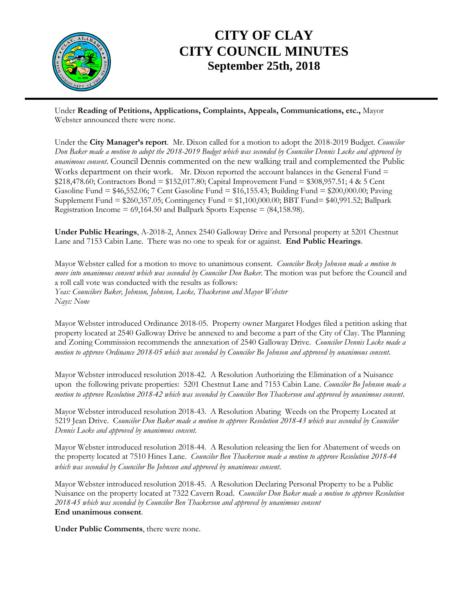

## **CITY OF CLAY CITY COUNCIL MINUTES September 25th, 2018**

Under **Reading of Petitions, Applications, Complaints, Appeals, Communications, etc.,** Mayor Webster announced there were none.

Under the **City Manager's report**. Mr. Dixon called for a motion to adopt the 2018-2019 Budget. *Councilor Don Baker made a motion to adopt the 2018-2019 Budget which was seconded by Councilor Dennis Locke and approved by unanimous consent*. Council Dennis commented on the new walking trail and complemented the Public Works department on their work. Mr. Dixon reported the account balances in the General Fund = \$218,478.60; Contractors Bond = \$152,017.80; Capital Improvement Fund = \$308,957.51; 4 & 5 Cent Gasoline Fund = \$46,552.06; 7 Cent Gasoline Fund = \$16,155.43; Building Fund = \$200,000.00; Paving Supplement Fund = \$260,357.05; Contingency Fund = \$1,100,000.00; BBT Fund= \$40,991.52; Ballpark Registration Income =  $69,164.50$  and Ballpark Sports Expense =  $(84,158.98)$ .

**Under Public Hearings**, A-2018-2, Annex 2540 Galloway Drive and Personal property at 5201 Chestnut Lane and 7153 Cabin Lane. There was no one to speak for or against. **End Public Hearings**.

Mayor Webster called for a motion to move to unanimous consent. *Councilor Becky Johnson made a motion to move into unanimous consent which was seconded by Councilor Don Baker.* The motion was put before the Council and a roll call vote was conducted with the results as follows: *Yeas: Councilors Baker, Johnson, Johnson, Locke, Thackerson and Mayor Webster Nays: None*

Mayor Webster introduced Ordinance 2018-05. Property owner Margaret Hodges filed a petition asking that property located at 2540 Galloway Drive be annexed to and become a part of the City of Clay. The Planning and Zoning Commission recommends the annexation of 2540 Galloway Drive. *Councilor Dennis Locke made a motion to approve Ordinance 2018-05 which was seconded by Councilor Bo Johnson and approved by unanimous consent*.

Mayor Webster introduced resolution 2018-42. A Resolution Authorizing the Elimination of a Nuisance upon the following private properties: 5201 Chestnut Lane and 7153 Cabin Lane. *Councilor Bo Johnson made a motion to approve Resolution 2018-42 which was seconded by Councilor Ben Thackerson and approved by unanimous consent*.

Mayor Webster introduced resolution 2018-43. A Resolution Abating Weeds on the Property Located at 5219 Jean Drive. C*ouncilor Don Baker made a motion to approve Resolution 2018-43 which was seconded by Councilor Dennis Locke and approved by unanimous consent.*

Mayor Webster introduced resolution 2018-44. A Resolution releasing the lien for Abatement of weeds on the property located at 7510 Hines Lane. *Councilor Ben Thackerson made a motion to approve Resolution 2018-44 which was seconded by Councilor Bo Johnson and approved by unanimous consent*.

Mayor Webster introduced resolution 2018-45. A Resolution Declaring Personal Property to be a Public Nuisance on the property located at 7322 Cavern Road. C*ouncilor Don Baker made a motion to approve Resolution 2018-45 which was seconded by Councilor Ben Thackerson and approved by unanimous consent* **End unanimous consent**.

**Under Public Comments**, there were none.